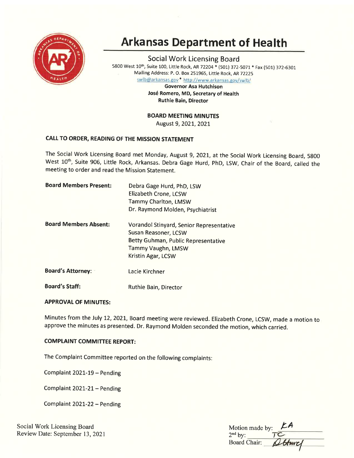

# Arkansas Department of Health

Social Work Licensing Board 5800 West 10<sup>th</sup>, Suite 100, Little Rock, AR 72204 \* (501) 372-5071 \* Fax (501) 372-6301 . Mailing Address: P. O. Box 2519G5, Little Rock, AR72225

swlb@arkansas.gov \* http://www.arkansas.gov/swlb/

Governor Asa Hutchison José Romero, MD, Secretary of Health Ruthie Bain, Director

BOARD MEETING MINUTES

August 9, 2021, 2021

# CALL TO ORDER, READING OF THE MISSION STATEMENT

The Social Work Licensing Board met Monday, August 9, 2021, at the Social Work Licensing Board, 5800 West 10<sup>th</sup>, Suite 906, Little Rock, Arkansas. Debra Gage Hurd, PhD, LSW, Chair of the Board, called the meeting to order and read the Mission Statement.

| <b>Board Members Present:</b> | Debra Gage Hurd, PhD, LSW<br>Elizabeth Crone, LCSW<br>Tammy Charlton, LMSW<br>Dr. Raymond Molden, Psychiatrist                                             |
|-------------------------------|------------------------------------------------------------------------------------------------------------------------------------------------------------|
| <b>Board Members Absent:</b>  | Vorandol Stinyard, Senior Representative<br>Susan Reasoner, LCSW<br>Betty Guhman, Public Representative<br><b>Tammy Vaughn, LMSW</b><br>Kristin Agar, LCSW |
| <b>Board's Attorney:</b>      | Lacie Kirchner                                                                                                                                             |
| <b>Board's Staff:</b>         | Ruthie Bain, Director                                                                                                                                      |

# **APPROVAL OF MINUTES:**

Minutes from the July 12, 2021, Board meeting were reviewed. Elizabeth Crone, LCSW, made a motion to approve the minutes as presented. Dr. Raymond Molden seconded the motion, which carried.

# **COMPLAINT COMMITTEE REPORT:**

The Complaint Committee reported on the following complaints:

Complaint 2021-19 - Pending

Complaint 2O2L-21- Pending

Complaint 2O2L-22 - Pending

Social Work Licensing Board Review Date: September 13,2021

| Motion made by:     | $\mathbf{A}$ |
|---------------------|--------------|
| $2nd$ by:           |              |
| <b>Board Chair:</b> | Sturel       |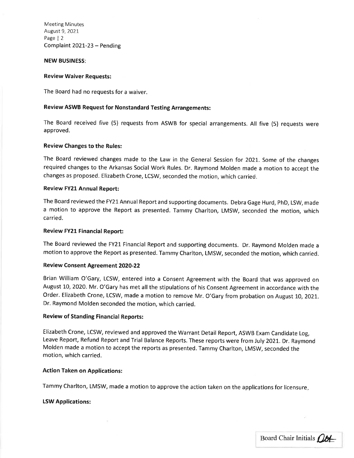Meeting Minutes August 9, 2021 Page | <sup>2</sup> Complaint 2021-23 - Pending

#### NEW BUSINESS:

#### Review Waiver Requests:

The Board had no requests for a waiver.

# Review ASWB Request for Nonstandard Testing Arrangements:

The Board received five (5) requests from ASWB for special arrangements. All five (5) requests were approved.

#### Review Changes to the Rules:

The Board reviewed changes made to the Law in the General Session for 2021-. Some of the changes required changes to the Arkansas Social Work Rules. Dr. Raymond Molden made a motion to accept the changes as proposed. Elizabeth crone, Lcsw, seconded the motion, which carried.

#### Review FY21 Annual Report:

The Board reviewed the FY21 Annual Report and supporting documents. Debra Gage Hurd, phD, LSW, made a motion to approve the Report as presented. Tammy Charlton, LMSW, seconded the motion, which carried.

#### Review FY21 Financial Report:

The Board reviewed the FY21 Financial Report and supporting documents. Dr. Raymond Molden made <sup>a</sup> motion to approve the Report as presented. Tammy Charlton, LMSW, seconded the motion, which carried.

# Review Consent Agreement 2O2O-22

Brian William O'Gary, LCSW, entered into a Consent Agreement with the Board that was approved on August 10, 2020. Mr. O'Gary has met all the stipulations of his Consent Agreement in accordance with the Order. Elizabeth Crone, LCSW, made a motion to remove Mr. O'Gary from probation on August 10,202L. Dr. Raymond Molden seconded the motion, which carried.

# Review of Standing Financial Reports:

Elizabeth Crone, LCSW, reviewed and approved the Warrant Detail Report, ASWB Exam Candidate Log, Leave Report, Refund Report and Trial Balance Reports. These reports were from July 2021. Dr. Raymond Molden made a motion to accept the reports as presented. Tammy Charlton, LMSW, seconded the motion, which carried.

# Action Taken on Applications:

Tammy Charlton, LMSW, made a motion to approve the action taken on the applications for licensure

#### ISW Applications:

Board Chair Initials Oct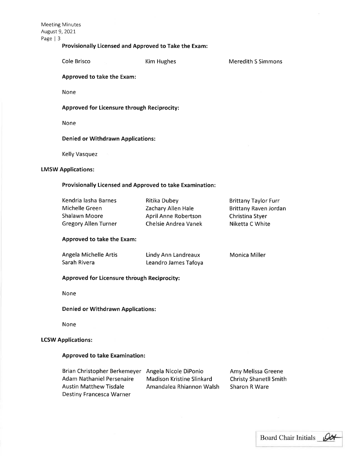Meeting Minutes August 9,2O2t Page | <sup>3</sup>

# Provisionally Licensed and Approved to Take the Exam:

Cole Brisco **Kim Hughes** 

Meredith S Simmons

Approved to take the Exam:

None

Approved for Licensure through Reciprocity:

None

Denied or Withdrawn Applications:

Kelly Vasquez

# LMSW Applications:

## Provisionally Licensed and Approved to take Examination:

Kendria lasha Barnes Michelle Green Shalawn Moore Gregory Allen Turner Ritika Dubey Zachary Allen Hale AprilAnne Robertson Chelsie Andrea Vanek Brittany Taylor Furr Brittany Raven Jordan Christina Styer Niketta C White

## Approved to take the Exam:

| Angela Michelle Artis | Lindy Ann Landreaux  | Monica Miller |
|-----------------------|----------------------|---------------|
| Sarah Rivera          | Leandro James Tafoya |               |

#### Approved for Licensure through Reciprocity:

None

Denied or Withdrawn Applications:

None

# LCSW Applications:

# Approved to take Examination:

| Brian Christopher Berkemeyer Angela Nicole DiPonio |                                  | Amy Melissa Greene             |
|----------------------------------------------------|----------------------------------|--------------------------------|
| Adam Nathaniel Persenaire                          | <b>Madison Kristine Slinkard</b> | <b>Christy Shanet II Smith</b> |
| <b>Austin Matthew Tisdale</b>                      | Amandalea Rhiannon Walsh         | <b>Sharon R Ware</b>           |
| <b>Destiny Francesca Warner</b>                    |                                  |                                |